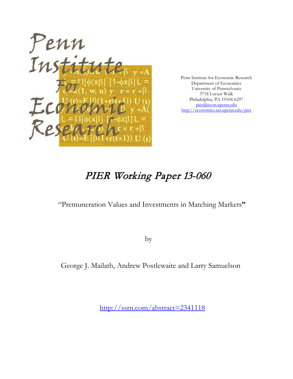

Penn Institute for Economic Research Department of Economics University of Pennsylvania 3718 Locust Walk Philadelphia, PA 19104-6297 [pier@econ.upenn.edu](mailto:pier@econ.upenn.edu) <http://economics.sas.upenn.edu/pier>

# PIER Working Paper 13-060

"Premuneration Values and Investments in Matching Markets**"**

by

George J. Mailath, Andrew Postlewaite and Larry Samuelson

[http://ssrn.com/abstract=2](http://ssrn.com/abstract_id=)341118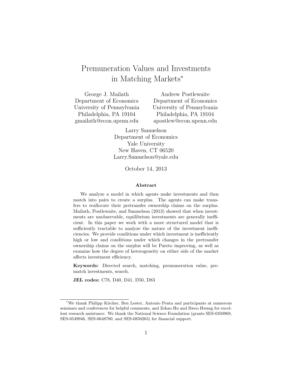# Premuneration Values and Investments in Matching Markets<sup>∗</sup>

George J. Mailath Department of Economics University of Pennsylvania Philadelphia, PA 19104 gmailath@econ.upenn.edu Andrew Postlewaite Department of Economics University of Pennsylvania Philadelphia, PA 19104 apostlew@econ.upenn.edu

> Larry Samuelson Department of Economics Yale University New Haven, CT 06520 Larry.Samuelson@yale.edu

> > October 14, 2013

#### Abstract

We analyze a model in which agents make investments and then match into pairs to create a surplus. The agents can make transfers to reallocate their pretransfer ownership claims on the surplus. [Mailath, Postlewaite, and Samuelson](#page-38-0) [\(2013\)](#page-38-0) showed that when investments are unobservable, equilibrium investments are generally inefficient. In this paper we work with a more structured model that is sufficiently tractable to analyze the nature of the investment inefficiencies. We provide conditions under which investment is inefficiently high or low and conditions under which changes in the pretransfer ownership claims on the surplus will be Pareto improving, as well as examine how the degree of heterogeneity on either side of the market affects investment efficiency.

Keywords: Directed search, matching, premuneration value, prematch investments, search.

JEL codes: C78, D40, D41, D50, D83

<sup>∗</sup>We thank Philipp Kircher, Ben Lester, Antonio Penta and participants at numerous seminars and conferences for helpful comments, and Zehao Hu and Ilwoo Hwang for excellent research assistance. We thank the National Science Foundation (grants SES-0350969, SES-0549946, SES-0648780, and SES-0850263) for financial support.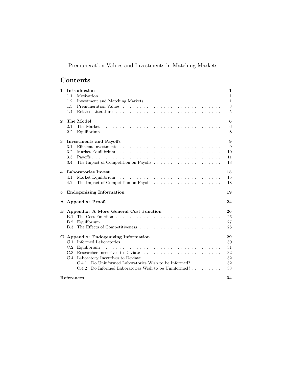# Premuneration Values and Investments in Matching Markets

# Contents

| 1              | Introduction                                                                 | $\mathbf{1}$ |
|----------------|------------------------------------------------------------------------------|--------------|
|                | Motivation<br>1.1                                                            | $\mathbf{1}$ |
|                | 1.2                                                                          | $\mathbf{1}$ |
|                | 1.3                                                                          | 3            |
|                | 1.4                                                                          | 5            |
| $\bf{2}$       | The Model                                                                    | 6            |
|                | 2.1                                                                          | 6            |
|                | 2.2                                                                          | 8            |
| 3              | <b>Investments and Payoffs</b>                                               | 9            |
|                | 3.1                                                                          | 9            |
|                | 3.2                                                                          | 10           |
|                | 3.3                                                                          | 11           |
|                | 3.4                                                                          | 13           |
| $\overline{4}$ | Laboratories Invest                                                          | 15           |
|                | Market Equilibrium<br>4.1                                                    | 15           |
|                | 4.2                                                                          | 18           |
| 5              | <b>Endogenizing Information</b>                                              | 19           |
|                | A Appendix: Proofs                                                           | 24           |
| в              | Appendix: A More General Cost Function                                       | 26           |
|                | B.1                                                                          | 26           |
|                | B.2                                                                          | 27           |
|                | B.3                                                                          | 28           |
|                | C Appendix: Endogenizing Information                                         | 29           |
|                |                                                                              | 30           |
|                | $\mathrm{C.2}$                                                               | 31           |
|                | C.3<br>Researcher Incentives to Deviate                                      | 32           |
|                | C.4                                                                          | 32           |
|                | Do Uninformed Laboratories Wish to be Informed? $\dots \dots \dots$<br>C.4.1 | 32           |
|                | Do Informed Laboratories Wish to be Uninformed?<br>C.4.2                     | 33           |
|                | References                                                                   | 34           |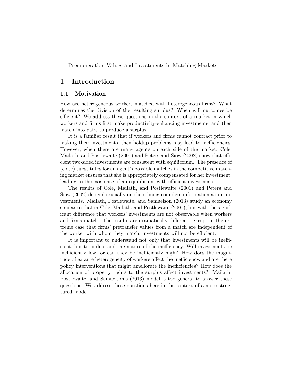Premuneration Values and Investments in Matching Markets

# <span id="page-3-0"></span>1 Introduction

#### <span id="page-3-1"></span>1.1 Motivation

How are heterogeneous workers matched with heterogeneous firms? What determines the division of the resulting surplus? When will outcomes be efficient? We address these questions in the context of a market in which workers and firms first make productivity-enhancing investments, and then match into pairs to produce a surplus.

It is a familiar result that if workers and firms cannot contract prior to making their investments, then holdup problems may lead to inefficiencies. However, when there are many agents on each side of the market, [Cole,](#page-37-0) [Mailath, and Postlewaite](#page-37-0) [\(2001\)](#page-37-0) and [Peters and Siow](#page-38-1) [\(2002\)](#page-38-1) show that efficient two-sided investments are consistent with equilibrium. The presence of (close) substitutes for an agent's possible matches in the competitive matching market ensures that she is appropriately compensated for her investment, leading to the existence of an equilibrium with efficient investments.

The results of [Cole, Mailath, and Postlewaite](#page-37-0) [\(2001\)](#page-37-0) and [Peters and](#page-38-1) [Siow](#page-38-1) [\(2002\)](#page-38-1) depend crucially on there being complete information about investments. [Mailath, Postlewaite, and Samuelson](#page-38-0) [\(2013\)](#page-38-0) study an economy similar to that in [Cole, Mailath, and Postlewaite](#page-37-0)  $(2001)$ , but with the significant difference that workers' investments are not observable when workers and firms match. The results are dramatically different: except in the extreme case that firms' pretransfer values from a match are independent of the worker with whom they match, investments will not be efficient.

It is important to understand not only that investments will be inefficient, but to understand the nature of the inefficiency. Will investments be inefficiently low, or can they be inefficiently high? How does the magnitude of ex ante heterogeneity of workers affect the inefficiency, and are there policy interventions that might ameliorate the inefficiencies? How does the allocation of property rights to the surplus affect investments? [Mailath,](#page-38-0) [Postlewaite, and Samuelson'](#page-38-0)s [\(2013\)](#page-38-0) model is too general to answer these questions. We address these questions here in the context of a more structured model.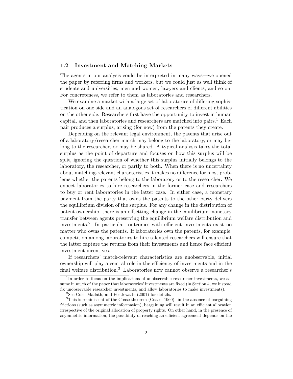#### <span id="page-4-0"></span>1.2 Investment and Matching Markets

The agents in our analysis could be interpreted in many ways—we opened the paper by referring firms and workers, but we could just as well think of students and universities, men and women, lawyers and clients, and so on. For concreteness, we refer to them as laboratories and researchers.

We examine a market with a large set of laboratories of differing sophistication on one side and an analogous set of researchers of different abilities on the other side. Researchers first have the opportunity to invest in human capital, and then laboratories and researchers are matched into pairs.<sup>[1](#page-4-1)</sup> Each pair produces a surplus, arising (for now) from the patents they create.

Depending on the relevant legal environment, the patents that arise out of a laboratory/researcher match may belong to the laboratory, or may belong to the researcher, or may be shared. A typical analysis takes the total surplus as the point of departure and focuses on how this surplus will be split, ignoring the question of whether this surplus initially belongs to the laboratory, the researcher, or partly to both. When there is no uncertainty about matching-relevant characteristics it makes no difference for most problems whether the patents belong to the laboratory or to the researcher. We expect laboratories to hire researchers in the former case and researchers to buy or rent laboratories in the latter case. In either case, a monetary payment from the party that owns the patents to the other party delivers the equilibrium division of the surplus. For any change in the distribution of patent ownership, there is an offsetting change in the equilibrium monetary transfer between agents preserving the equilibrium welfare distribution and investments.[2](#page-4-2) In particular, outcomes with efficient investments exist no matter who owns the patents. If laboratories own the patents, for example, competition among laboratories to hire talented researchers will ensure that the latter capture the returns from their investments and hence face efficient investment incentives.

If researchers' match-relevant characteristics are unobservable, initial ownership will play a central role in the efficiency of investments and in the final welfare distribution.<sup>[3](#page-4-3)</sup> Laboratories now cannot observe a researcher's

<span id="page-4-1"></span><sup>&</sup>lt;sup>1</sup>In order to focus on the implications of unobservable researcher investments, we assume in much of the paper that laboratories' investments are fixed (in Section [4,](#page-17-0) we instead fix unobservable researcher investments, and allow laboratories to make investments).

<span id="page-4-3"></span><span id="page-4-2"></span><sup>&</sup>lt;sup>2</sup>See [Cole, Mailath, and Postlewaite](#page-37-0)  $(2001)$  for details.

<sup>&</sup>lt;sup>3</sup>This is reminiscent of the Coase theorem [\(Coase, 1960\)](#page-37-1): in the absence of bargaining frictions (such as asymmetric information), bargaining will result in an efficient allocation irrespective of the original allocation of property rights. On other hand, in the presence of asymmetric information, the possibility of reaching an efficient agreement depends on the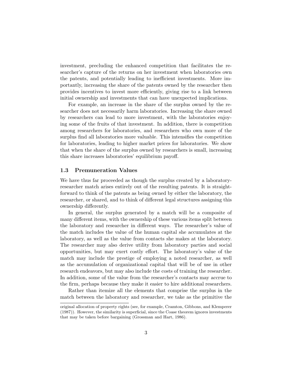investment, precluding the enhanced competition that facilitates the researcher's capture of the returns on her investment when laboratories own the patents, and potentially leading to inefficient investments. More importantly, increasing the share of the patents owned by the researcher then provides incentives to invest more efficiently, giving rise to a link between initial ownership and investments that can have unexpected implications.

For example, an increase in the share of the surplus owned by the researcher does not necessarily harm laboratories. Increasing the share owned by researchers can lead to more investment, with the laboratories enjoying some of the fruits of that investment. In addition, there is competition among researchers for laboratories, and researchers who own more of the surplus find all laboratories more valuable. This intensifies the competition for laboratories, leading to higher market prices for laboratories. We show that when the share of the surplus owned by researchers is small, increasing this share increases laboratories' equilibrium payoff.

#### <span id="page-5-0"></span>1.3 Premuneration Values

We have thus far proceeded as though the surplus created by a laboratoryresearcher match arises entirely out of the resulting patents. It is straightforward to think of the patents as being owned by either the laboratory, the researcher, or shared, and to think of different legal structures assigning this ownership differently.

In general, the surplus generated by a match will be a composite of many different items, with the ownership of these various items split between the laboratory and researcher in different ways. The researcher's value of the match includes the value of the human capital she accumulates at the laboratory, as well as the value from contacts she makes at the laboratory. The researcher may also derive utility from laboratory parties and social opportunities, but may exert costly effort. The laboratory's value of the match may include the prestige of employing a noted researcher, as well as the accumulation of organizational capital that will be of use in other research endeavors, but may also include the costs of training the researcher. In addition, some of the value from the researcher's contacts may accrue to the firm, perhaps because they make it easier to hire additional researchers.

Rather than itemize all the elements that comprise the surplus in the match between the laboratory and researcher, we take as the primitive the

original allocation of property rights (see, for example, [Cramton, Gibbons, and Klemperer](#page-37-2) [\(1987\)](#page-37-2)). However, the similarity is superficial, since the Coase theorem ignores investments that may be taken before bargaining [\(Grossman and Hart, 1986\)](#page-37-3).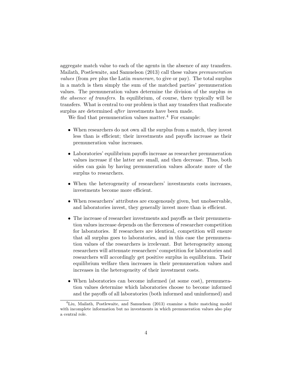aggregate match value to each of the agents in the absence of any transfers. [Mailath, Postlewaite, and Samuelson](#page-38-0) [\(2013\)](#page-38-0) call these values premuneration values (from pre plus the Latin munerare, to give or pay). The total surplus in a match is then simply the sum of the matched parties' premuneration values. The premuneration values determine the division of the surplus in the absence of transfers. In equilibrium, of course, there typically will be transfers. What is central to our problem is that any transfers that reallocate surplus are determined *after* investments have been made.

We find that premuneration values matter.<sup>[4](#page-6-0)</sup> For example:

- When researchers do not own all the surplus from a match, they invest less than is efficient; their investments and payoffs increase as their premuneration value increases.
- Laboratories' equilibrium payoffs increase as researcher premuneration values increase if the latter are small, and then decrease. Thus, both sides can gain by having premuneration values allocate more of the surplus to researchers.
- When the heterogeneity of researchers' investments costs increases, investments become more efficient.
- When researchers' attributes are exogenously given, but unobservable, and laboratories invest, they generally invest more than is efficient.
- The increase of researcher investments and payoffs as their premuneration values increase depends on the fierceness of researcher competition for laboratories. If researchers are identical, competition will ensure that all surplus goes to laboratories, and in this case the premuneration values of the researchers is irrelevant. But heterogeneity among researchers will attenuate researchers' competition for laboratories and researchers will accordingly get positive surplus in equilibrium. Their equilibrium welfare then increases in their premuneration values and increases in the heterogeneity of their investment costs.
- When laboratories can become informed (at some cost), premuneration values determine which laboratories choose to become informed and the payoffs of all laboratories (both informed and uninformed) and

<span id="page-6-0"></span><sup>&</sup>lt;sup>4</sup>[Liu, Mailath, Postlewaite, and Samuelson](#page-38-2) [\(2013\)](#page-38-2) examine a finite matching model with incomplete information but no investments in which premuneration values also play a central role.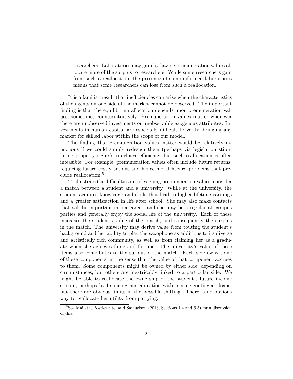researchers. Laboratories may gain by having premuneration values allocate more of the surplus to researchers. While some researchers gain from such a reallocation, the presence of some informed laboratories means that some researchers can lose from such a reallocation.

It is a familiar result that inefficiencies can arise when the characteristics of the agents on one side of the market cannot be observed. The important finding is that the equilibrium allocation depends upon premuneration values, sometimes counterintuitively. Premuneration values matter whenever there are unobserved investments or unobservable exogenous attributes. Investments in human capital are especially difficult to verify, bringing any market for skilled labor within the scope of our model.

The finding that premuneration values matter would be relatively innocuous if we could simply redesign them (perhaps via legislation stipulating property rights) to achieve efficiency, but such reallocation is often infeasible. For example, premuneration values often include future returns, requiring future costly actions and hence moral hazard problems that preclude reallocation.[5](#page-7-0)

To illustrate the difficulties in redesigning premuneration values, consider a match between a student and a university. While at the university, the student acquires knowledge and skills that lead to higher lifetime earnings and a greater satisfaction in life after school. She may also make contacts that will be important in her career, and she may be a regular at campus parties and generally enjoy the social life of the university. Each of these increases the student's value of the match, and consequently the surplus in the match. The university may derive value from touting the student's background and her ability to play the saxophone as additions to its diverse and artistically rich community, as well as from claiming her as a graduate when she achieves fame and fortune. The university's value of these items also contributes to the surplus of the match. Each side owns some of these components, in the sense that the value of that component accrues to them. Some components might be owned by either side, depending on circumstances, but others are inextricably linked to a particular side. We might be able to reallocate the ownership of the student's future income stream, perhaps by financing her education with income-contingent loans, but there are obvious limits in the possible shifting. There is no obvious way to reallocate her utility from partying.

<span id="page-7-0"></span><sup>5</sup>See [Mailath, Postlewaite, and Samuelson](#page-38-0) [\(2013,](#page-38-0) Sections 1.4 and 6.5) for a discussion of this.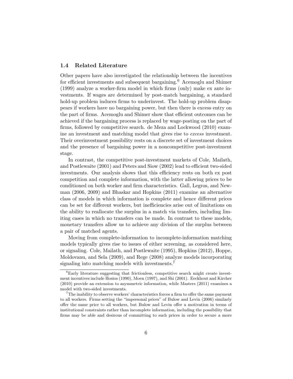#### <span id="page-8-0"></span>1.4 Related Literature

Other papers have also investigated the relationship between the incentives for efficient investments and subsequent bargaining.<sup>[6](#page-8-1)</sup> [Acemoglu and Shimer](#page-37-4) [\(1999\)](#page-37-4) analyze a worker-firm model in which firms (only) make ex ante investments. If wages are determined by post-match bargaining, a standard hold-up problem induces firms to underinvest. The hold-up problem disappears if workers have no bargaining power, but then there is excess entry on the part of firms. Acemoglu and Shimer show that efficient outcomes can be achieved if the bargaining process is replaced by wage-posting on the part of firms, followed by competitive search. [de Meza and Lockwood](#page-37-5) [\(2010\)](#page-37-5) examine an investment and matching model that gives rise to excess investment. Their overinvestment possibility rests on a discrete set of investment choices and the presence of bargaining power in a noncompetitive post-investment stage.

In contrast, the competitive post-investment markets of [Cole, Mailath,](#page-37-0) [and Postlewaite](#page-37-0) [\(2001\)](#page-37-0) and [Peters and Siow](#page-38-1) [\(2002\)](#page-38-1) lead to efficient two-sided investments. Our analysis shows that this efficiency rests on both ex post competition and complete information, with the latter allowing prices to be conditioned on both worker and firm characteristics. [Gall, Legros, and New](#page-37-6)[man](#page-37-6) [\(2006,](#page-37-6) [2009\)](#page-37-7) and [Bhaskar and Hopkins](#page-37-8) [\(2011\)](#page-37-8) examine an alternative class of models in which information is complete and hence different prices can be set for different workers, but inefficiencies arise out of limitations on the ability to reallocate the surplus in a match via transfers, including limiting cases in which no transfers can be made. In contrast to these models, monetary transfers allow us to achieve any division of the surplus between a pair of matched agents.

Moving from complete-information to incomplete-information matching models typically gives rise to issues of either screening, as considered here, or signaling. [Cole, Mailath, and Postlewaite](#page-37-9) [\(1995\)](#page-37-9), [Hopkins](#page-37-10) [\(2012\)](#page-37-10), [Hoppe,](#page-38-3) [Moldovanu, and Sela](#page-38-3) [\(2009\)](#page-38-3), and [Rege](#page-38-4) [\(2008\)](#page-38-4) analyze models incorporating signaling into matching models with investments.<sup>[7](#page-8-2)</sup>

<span id="page-8-1"></span> ${}^{6}$ Early literature suggesting that frictionless, competitive search might create investment incentives include [Hosios](#page-38-5) [\(1990\)](#page-38-5), [Moen](#page-38-6) [\(1997\)](#page-38-6), and [Shi](#page-38-7) [\(2001\)](#page-38-7). [Eeckhout and Kircher](#page-37-11) [\(2010\)](#page-37-11) provide an extension to asymmetric information, while [Masters](#page-38-8) [\(2011\)](#page-38-8) examines a model with two-sided investments.

<span id="page-8-2"></span><sup>7</sup>The inability to observe workers' characteristics forces a firm to offer the same payment to all workers. Firms setting the "impersonal prices" of [Bulow and Levin](#page-37-12) [\(2006\)](#page-37-12) similarly offer the same price to all workers, but Bulow and Levin offer a motivation in terms of institutional constraints rather than incomplete information, including the possibility that firms may be able and desirous of committing to such prices in order to secure a more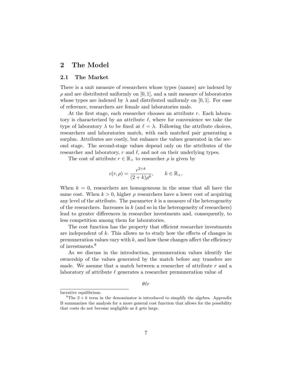# <span id="page-9-0"></span>2 The Model

#### <span id="page-9-1"></span>2.1 The Market

There is a unit measure of researchers whose types (names) are indexed by  $\rho$  and are distributed uniformly on [0, 1], and a unit measure of laboratories whose types are indexed by  $\lambda$  and distributed uniformly on [0, 1]. For ease of reference, researchers are female and laboratories male.

At the first stage, each researcher chooses an attribute r. Each laboratory is characterized by an attribute  $\ell$ , where for convenience we take the type of laboratory  $\lambda$  to be fixed at  $\ell = \lambda$ . Following the attribute choices, researchers and laboratories match, with each matched pair generating a surplus. Attributes are costly, but enhance the values generated in the second stage. The second-stage values depend only on the attributes of the researcher and laboratory,  $r$  and  $\ell$ , and not on their underlying types.

The cost of attribute  $r \in \mathbb{R}_+$  to researcher  $\rho$  is given by

$$
c(r,\rho) = \frac{r^{2+k}}{(2+k)\rho^k}, \qquad k \in \mathbb{R}_+.
$$

When  $k = 0$ , researchers are homogeneous in the sense that all have the same cost. When  $k > 0$ , higher  $\rho$  researchers have a lower cost of acquiring any level of the attribute. The parameter  $k$  is a measure of the heterogeneity of the researchers. Increases in  $k$  (and so in the heterogeneity of researchers) lead to greater differences in researcher investments and, consequently, to less competition among them for laboratories.

The cost function has the property that efficient researcher investments are independent of  $k$ . This allows us to study how the effects of changes in premuneration values vary with  $k$ , and how these changes affect the efficiency of investments.<sup>[8](#page-9-2)</sup>

As we discuss in the introduction, premuneration values identify the ownership of the values generated by the match before any transfers are made. We assume that a match between a researcher of attribute  $r$  and a laboratory of attribute  $\ell$  generates a researcher premuneration value of

 $\theta \ell r$ 

lucrative equilibrium.

<span id="page-9-2"></span><sup>&</sup>lt;sup>8</sup>The  $2 + k$  term in the denominator is introduced to simplify the algebra. Appendix [B](#page-29-0) summarizes the analysis for a more general cost function that allows for the possibility that costs do not become negligible as  $k$  gets large.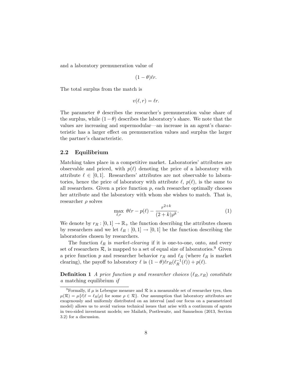and a laboratory premuneration value of

$$
(1-\theta)\ell r.
$$

The total surplus from the match is

$$
v(\ell, r) = \ell r.
$$

The parameter  $\theta$  describes the researcher's premuneration value share of the surplus, while  $(1-\theta)$  describes the laboratory's share. We note that the values are increasing and supermodular—an increase in an agent's characteristic has a larger effect on premuneration values and surplus the larger the partner's characteristic.

#### <span id="page-10-0"></span>2.2 Equilibrium

Matching takes place in a competitive market. Laboratories' attributes are observable and priced, with  $p(\ell)$  denoting the price of a laboratory with attribute  $\ell \in [0, 1]$ . Researchers' attributes are not observable to laboratories, hence the price of laboratory with attribute  $\ell$ ,  $p(\ell)$ , is the same to all researchers. Given a price function  $p$ , each researcher optimally chooses her attribute and the laboratory with whom she wishes to match. That is, researcher  $\rho$  solves

<span id="page-10-2"></span>
$$
\max_{\ell,r} \ \theta \ell r - p(\ell) - \frac{r^{2+k}}{(2+k)\rho^k}.\tag{1}
$$

We denote by  $r_R : [0, 1] \to \mathbb{R}_+$  the function describing the attributes chosen by researchers and we let  $\ell_R : [0, 1] \to [0, 1]$  be the function describing the laboratories chosen by researchers.

The function  $\ell_R$  is market-clearing if it is one-to-one, onto, and every set of researchers  $\mathcal{R}$ , is mapped to a set of equal size of laboratories.<sup>[9](#page-10-1)</sup> Given a price function p and researcher behavior  $r_R$  and  $\ell_R$  (where  $\ell_R$  is market clearing), the payoff to laboratory  $\ell$  is  $(1 - \theta)\ell r_R(\ell_R^{-1}(\ell)) + p(\ell)$ .

**Definition 1** A price function p and researcher choices  $(\ell_R, r_R)$  constitute a matching equilibrium if

<span id="page-10-1"></span><sup>&</sup>lt;sup>9</sup>Formally, if  $\mu$  is Lebesgue measure and  $\mathcal R$  is a measurable set of researcher tyes, then  $\mu(\mathcal{R}) = \mu\{\ell | \ell = \ell_R(\rho) \text{ for some } \rho \in \mathcal{R}\}\$ . Our assumption that laboratory attributes are exogenously and uniformly distributed on an interval (and our focus on a parametrized model) allows us to avoid various technical issues that arise with a continuum of agents in two-sided investment models; see [Mailath, Postlewaite, and Samuelson](#page-38-0) [\(2013,](#page-38-0) Section 3.2) for a discussion.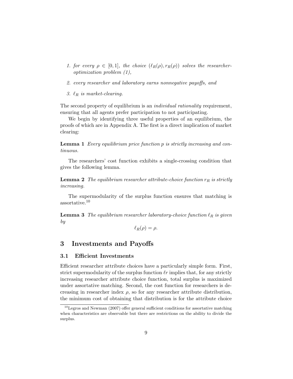- 1. for every  $\rho \in [0,1]$ , the choice  $(\ell_R(\rho), r_R(\rho))$  solves the researcheroptimization problem [\(1\)](#page-10-2),
- 2. every researcher and laboratory earns nonnegative payoffs, and
- 3.  $\ell_R$  is market-clearing.

The second property of equilibrium is an *individual rationality* requirement, ensuring that all agents prefer participation to not participating.

We begin by identifying three useful properties of an equilibrium, the proofs of which are in Appendix [A.](#page-27-0) The first is a direct implication of market clearing:

<span id="page-11-3"></span>Lemma 1 Every equilibrium price function p is strictly increasing and continuous.

The researchers' cost function exhibits a single-crossing condition that gives the following lemma.

<span id="page-11-4"></span>**Lemma 2** The equilibrium researcher attribute-choice function  $r_R$  is strictly increasing.

The supermodularity of the surplus function ensures that matching is assortative.[10](#page-11-2)

<span id="page-11-5"></span>**Lemma 3** The equilibrium researcher laboratory-choice function  $\ell_R$  is given by

 $\ell_R(\rho) = \rho.$ 

# <span id="page-11-0"></span>3 Investments and Payoffs

### <span id="page-11-1"></span>3.1 Efficient Investments

Efficient researcher attribute choices have a particularly simple form. First, strict supermodularity of the surplus function  $\ell r$  implies that, for any strictly increasing researcher attribute choice function, total surplus is maximized under assortative matching. Second, the cost function for researchers is decreasing in researcher index  $\rho$ , so for any researcher attribute distribution, the minimum cost of obtaining that distribution is for the attribute choice

<span id="page-11-2"></span> $10$ [Legros and Newman](#page-38-9) [\(2007\)](#page-38-9) offer general sufficient conditions for assortative matching when characteristics are observable but there are restrictions on the ability to divide the surplus.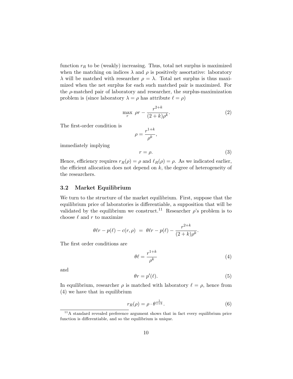function  $r_R$  to be (weakly) increasing. Thus, total net surplus is maximized when the matching on indices  $\lambda$  and  $\rho$  is positively assortative: laboratory λ will be matched with researcher  $ρ = λ$ . Total net surplus is thus maximized when the net surplus for each such matched pair is maximized. For the  $\rho$ -matched pair of laboratory and researcher, the surplus-maximization problem is (since laboratory  $\lambda = \rho$  has attribute  $\ell = \rho$ )

<span id="page-12-5"></span>
$$
\max_{r} \ \rho r - \frac{r^{2+k}}{(2+k)\rho^k}.\tag{2}
$$

The first-order condition is

$$
\rho = \frac{r^{1+k}}{\rho^k},
$$

immediately implying

<span id="page-12-6"></span>
$$
r = \rho. \tag{3}
$$

Hence, efficiency requires  $r_R(\rho) = \rho$  and  $\ell_R(\rho) = \rho$ . As we indicated earlier, the efficient allocation does not depend on  $k$ , the degree of heterogeneity of the researchers.

#### <span id="page-12-0"></span>3.2 Market Equilibrium

We turn to the structure of the market equilibrium. First, suppose that the equilibrium price of laboratories is differentiable, a supposition that will be validated by the equilibrium we construct.<sup>[11](#page-12-1)</sup> Researcher  $\rho$ 's problem is to choose  $\ell$  and r to maximize

$$
\theta \ell r - p(\ell) - c(r, \rho) = \theta \ell r - p(\ell) - \frac{r^{2+k}}{(2+k)\rho^k}.
$$

The first order conditions are

<span id="page-12-2"></span>
$$
\theta \ell = \frac{r^{1+k}}{\rho^k} \tag{4}
$$

and

<span id="page-12-4"></span>
$$
\theta r = p'(\ell). \tag{5}
$$

In equilibrium, researcher  $\rho$  is matched with laboratory  $\ell = \rho$ , hence from [\(4\)](#page-12-2) we have that in equilibrium

<span id="page-12-3"></span>
$$
r_R(\rho) = \rho \cdot \theta^{\frac{1}{1+k}}.\tag{6}
$$

<span id="page-12-1"></span><sup>&</sup>lt;sup>11</sup>A standard revealed preference argument shows that in fact every equilibrium price function is differentiable, and so the equilibrium is unique.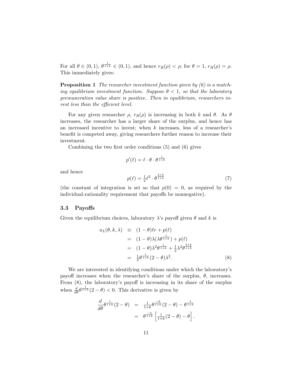For all  $\theta \in (0,1)$ ,  $\theta^{\frac{1}{1+k}} \in (0,1)$ , and hence  $r_R(\rho) < \rho$ ; for  $\theta = 1$ ,  $r_R(\rho) = \rho$ . This immediately gives:

**Proposition 1** The researcher investment function given by  $(6)$  is a matching equilibrium investment function. Suppose  $\theta < 1$ , so that the laboratory premuneration value share is positive. Then in equilibrium, researchers invest less than the efficient level.

For any given researcher  $\rho$ ,  $r_R(\rho)$  is increasing in both k and  $\theta$ . As  $\theta$ increases, the researcher has a larger share of the surplus, and hence has an increased incentive to invest; when  $k$  increases, less of a researcher's benefit is competed away, giving researchers further reason to increase their investment.

Combining the two first order conditions [\(5\)](#page-12-4) and [\(6\)](#page-12-3) gives

$$
p'(\ell) = \ell \cdot \theta \cdot \theta^{\frac{1}{1+k}}
$$

and hence

<span id="page-13-2"></span>
$$
p(\ell) = \frac{1}{2}\ell^2 \cdot \theta^{\frac{2+k}{1+k}} \tag{7}
$$

(the constant of integration is set so that  $p(0) = 0$ , as required by the individual-rationality requirement that payoffs be nonnegative).

#### <span id="page-13-0"></span>3.3 Payoffs

Given the equilibrium choices, laboratory  $\lambda$ 's payoff given  $\theta$  and k is

<span id="page-13-1"></span>
$$
u_L(\theta, k, \lambda) \equiv (1 - \theta)\ell r + p(\ell)
$$
  
=  $(1 - \theta)\lambda(\lambda\theta^{\frac{1}{1+k}}) + p(\ell)$   
=  $(1 - \theta)\lambda^2\theta^{\frac{1}{1+k}} + \frac{1}{2}\lambda^2\theta^{\frac{2+k}{1+k}}$   
=  $\frac{1}{2}\theta^{\frac{1}{1+k}}(2 - \theta)\lambda^2.$  (8)

We are interested in identifying conditions under which the laboratory's payoff increases when the researcher's share of the surplus,  $\theta$ , increases. From [\(8\)](#page-13-1), the laboratory's payoff is increasing in its share of the surplus when  $\frac{d}{d\theta} \theta^{\frac{1}{1+k}} (2 - \theta) < 0$ . This derivative is given by

$$
\frac{d}{d\theta} \theta^{\frac{1}{1+k}} (2 - \theta) = \frac{1}{1+k} \theta^{\frac{-k}{1+k}} (2 - \theta) - \theta^{\frac{1}{1+k}} \n= \theta^{\frac{-k}{1+k}} \left[ \frac{1}{1+k} (2 - \theta) - \theta \right].
$$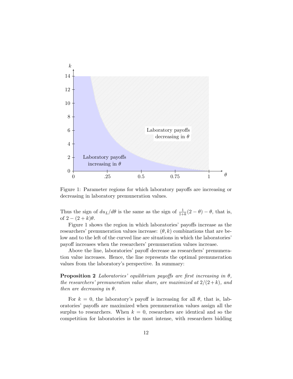

<span id="page-14-0"></span>Figure 1: Parameter regions for which laboratory payoffs are increasing or decreasing in laboratory premuneration values.

Thus the sign of  $du_L/d\theta$  is the same as the sign of  $\frac{1}{1+k}(2-\theta)-\theta$ , that is, of  $2 - (2 + k)\theta$ .

Figure [1](#page-14-0) shows the region in which laboratories' payoffs increase as the researchers' premuneration values increase:  $(\theta, k)$  combinations that are below and to the left of the curved line are situations in which the laboratories' payoff increases when the researchers' premuneration values increase.

Above the line, laboratories' payoff decrease as researchers' premuneration value increases. Hence, the line represents the optimal premuneration values from the laboratory's perspective. In summary:

**Proposition 2** Laboratories' equilibrium payoffs are first increasing in  $\theta$ , the researchers' premuneration value share, are maximized at  $2/(2+k)$ , and then are decreasing in  $\theta$ .

For  $k = 0$ , the laboratory's payoff is increasing for all  $\theta$ , that is, laboratories' payoffs are maximized when premuneration values assign all the surplus to researchers. When  $k = 0$ , researchers are identical and so the competition for laboratories is the most intense, with researchers bidding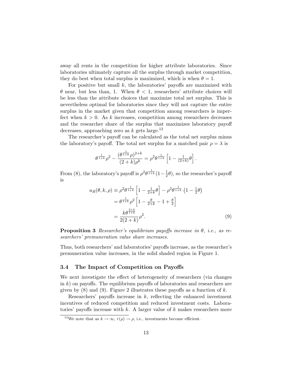away all rents in the competition for higher attribute laboratories. Since laboratories ultimately capture all the surplus through market competition, they do best when total surplus is maximized, which is when  $\theta = 1$ .

For positive but small  $k$ , the laboratories' payoffs are maximized with  $\theta$  near, but less than, 1. When  $\theta < 1$ , researchers' attribute choices will be less than the attribute choices that maximize total net surplus. This is nevertheless optimal for laboratories since they will not capture the entire surplus in the market given that competition among researchers is imperfect when  $k > 0$ . As k increases, competition among researchers decreases and the researcher share of the surplus that maximizes laboratory payoff decreases, approaching zero as  $k$  gets large.<sup>[12](#page-15-1)</sup>

The researcher's payoff can be calculated as the total net surplus minus the laboratory's payoff. The total net surplus for a matched pair  $\rho = \lambda$  is

$$
\theta^{\frac{1}{1+k}}\rho^2-\frac{(\theta^{\frac{1}{1+k}}\rho)^{2+k}}{(2+k)\rho^k}=\rho^2\theta^{\frac{1}{1+k}}\left[1-\tfrac{1}{(2+k)}\theta\right].
$$

From [\(8\)](#page-13-1), the laboratory's payoff is  $\rho^2 \theta^{\frac{1}{1+k}} (1 - \frac{1}{2})$  $(\frac{1}{2}\theta)$ , so the researcher's payoff is

<span id="page-15-2"></span>
$$
u_R(\theta, k, \rho) \equiv \rho^2 \theta^{\frac{1}{1+k}} \left[ 1 - \frac{1}{2+k} \theta \right] - \rho^2 \theta^{\frac{1}{1+k}} \left( 1 - \frac{1}{2} \theta \right)
$$
  
=  $\theta^{\frac{1}{1+k}} \rho^2 \left[ 1 - \frac{\theta}{2+k} - 1 + \frac{\theta}{2} \right]$   
=  $\frac{k \theta^{\frac{2+k}{1+k}}}{2(2+k)} \rho^2.$  (9)

**Proposition 3** Researcher's equilibrium payoffs increase in  $\theta$ , i.e., as researchers' premuneration value share increases.

Thus, both researchers' and laboratories' payoffs increase, as the researcher's premuneration value increases, in the solid shaded region in Figure [1.](#page-14-0)

#### <span id="page-15-0"></span>3.4 The Impact of Competition on Payoffs

We next investigate the effect of heterogeneity of researchers (via changes in  $k$ ) on payoffs. The equilibrium payoffs of laboratories and researchers are given by  $(8)$  and  $(9)$ . Figure [2](#page-16-0) illustrates these payoffs as a function of k.

Researchers' payoffs increase in  $k$ , reflecting the enhanced investment incentives of reduced competition and reduced investment costs. Laboratories' payoffs increase with k. A larger value of  $k$  makes researchers more

<span id="page-15-1"></span><sup>&</sup>lt;sup>12</sup>We note that as  $k \to \infty$ ,  $r(\rho) \to \rho$ , i.e., investments become efficient.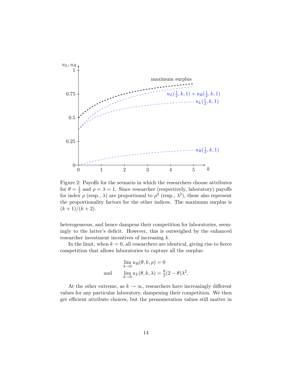

<span id="page-16-0"></span>Figure 2: Payoffs for the scenario in which the researchers choose attributes for  $\theta = \frac{1}{2}$  $\frac{1}{2}$  and  $\rho = \lambda = 1$ . Since researcher (respectively, laboratory) payoffs for index  $\rho$  (resp.,  $\lambda$ ) are proportional to  $\rho^2$  (resp.,  $\lambda^2$ ), these also represent the proportionality factors for the other indices. The maximum surplus is  $(k+1)/(k+2)$ .

heterogeneous, and hence dampens their competition for laboratories, seemingly to the latter's deficit. However, this is outweighed by the enhanced researcher investment incentives of increasing k.

In the limit, when  $k = 0$ , all researchers are identical, giving rise to fierce competition that allows laboratories to capture all the surplus:

$$
\lim_{k \to 0} u_R(\theta, k, \rho) = 0
$$
  
and 
$$
\lim_{k \to 0} u_L(\theta, k, \lambda) = \frac{\theta}{2}(2 - \theta)\lambda^2.
$$

At the other extreme, as  $k \to \infty$ , researchers have increasingly different values for any particular laboratory, dampening their competition. We then get efficient attribute choices, but the premuneration values still matter in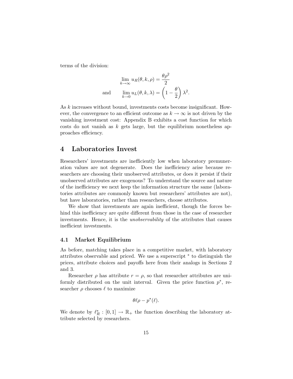terms of the division:

$$
\lim_{k \to \infty} u_R(\theta, k, \rho) = \frac{\theta \rho^2}{2}
$$
  
and 
$$
\lim_{k \to 0} u_L(\theta, k, \lambda) = \left(1 - \frac{\theta}{2}\right) \lambda^2.
$$

As k increases without bound, investments costs become insignificant. However, the convergence to an efficient outcome as  $k \to \infty$  is not driven by the vanishing investment cost: Appendix [B](#page-29-0) exhibits a cost function for which costs do not vanish as  $k$  gets large, but the equilibrium nonetheless approaches efficiency.

### <span id="page-17-0"></span>4 Laboratories Invest

Researchers' investments are inefficiently low when laboratory premuneration values are not degenerate. Does the inefficiency arise because researchers are choosing their unobserved attributes, or does it persist if their unobserved attributes are exogenous? To understand the source and nature of the inefficiency we next keep the information structure the same (laboratories attributes are commonly known but researchers' attributes are not), but have laboratories, rather than researchers, choose attributes.

We show that investments are again inefficient, though the forces behind this inefficiency are quite different from those in the case of researcher investments. Hence, it is the *unobservability* of the attributes that causes inefficient investments.

#### <span id="page-17-1"></span>4.1 Market Equilibrium

As before, matching takes place in a competitive market, with laboratory attributes observable and priced. We use a superscript ∗ to distinguish the prices, attribute choices and payoffs here from their analogs in Sections [2](#page-9-0) and [3.](#page-11-0)

Researcher  $\rho$  has attribute  $r = \rho$ , so that researcher attributes are uniformly distributed on the unit interval. Given the price function  $p^*$ , researcher  $\rho$  chooses  $\ell$  to maximize

$$
\theta\ell\rho-p^*(\ell).
$$

We denote by  $\ell_R^* : [0, 1] \to \mathbb{R}_+$  the function describing the laboratory attribute selected by researchers.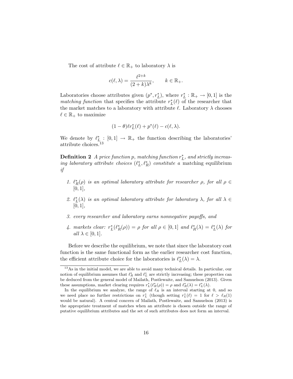The cost of attribute  $\ell \in \mathbb{R}_+$  to laboratory  $\lambda$  is

$$
c(\ell, \lambda) = \frac{\ell^{2+k}}{(2+k)\lambda^k}, \qquad k \in \mathbb{R}_+.
$$

Laboratories choose attributes given  $(p^*, r_L^*)$ , where  $r_L^* : \mathbb{R}_+ \to [0, 1]$  is the matching function that specifies the attribute  $r_L^*(\ell)$  of the researcher that the market matches to a laboratory with attribute  $\ell$ . Laboratory  $\lambda$  chooses  $\ell \in \mathbb{R}_+$  to maximize

$$
(1-\theta)\ell r_L^*(\ell)+p^*(\ell)-c(\ell,\lambda).
$$

We denote by  $\ell_{L_i}^* : [0,1] \to \mathbb{R}_+$  the function describing the laboratories' attribute choices.<sup>[13](#page-18-0)</sup>

**Definition 2** A price function p, matching function  $r_L^*$ , and strictly increasing laboratory attribute choices  $(\ell_L^*, \ell_R^*)$  constitute a matching equilibrium if

- 1.  $\ell_R^*(\rho)$  is an optimal laboratory attribute for researcher  $\rho$ , for all  $\rho \in$  $[0, 1],$
- 2.  $\ell_L^*(\lambda)$  is an optimal laboratory attribute for laboratory  $\lambda$ , for all  $\lambda \in$  $[0, 1]$ ,
- 3. every researcher and laboratory earns nonnegative payoffs, and
- 4. markets clear:  $r_L^*(\ell_R^*(\rho)) = \rho$  for all  $\rho \in [0,1]$  and  $\ell_R^*(\lambda) = \ell_L^*(\lambda)$  for all  $\lambda \in [0,1]$ .

Before we describe the equilibrium, we note that since the laboratory cost function is the same functional form as the earlier researcher cost function, the efficient attribute choice for the laboratories is  $\ell_L^*(\lambda) = \lambda$ .

<span id="page-18-1"></span><span id="page-18-0"></span><sup>13</sup>As in the initial model, we are able to avoid many technical details. In particular, our notion of equilibrium assumes that  $\ell_R^*$  and  $\ell_L^*$  are strictly increasing; these properties can be deduced from the general model of [Mailath, Postlewaite, and Samuelson](#page-38-0) [\(2013\)](#page-38-0). Given these assumptions, market clearing requires  $r_L^*(\ell_R^*(\rho)) = \rho$  and  $\ell_R^*(\lambda) = \ell_L^*(\lambda)$ .

In the equilibrium we analyze, the range of  $\ell_R$  is an interval starting at 0, and so we need place no further restrictions on  $r_L^*$  (though setting  $r_L^*(\ell) = 1$  for  $\ell > \ell_R(1)$ would be natural). A central concern of [Mailath, Postlewaite, and Samuelson](#page-38-0) [\(2013\)](#page-38-0) is the appropriate treatment of matches when an attribute is chosen outside the range of putative equilibrium attributes and the set of such attributes does not form an interval.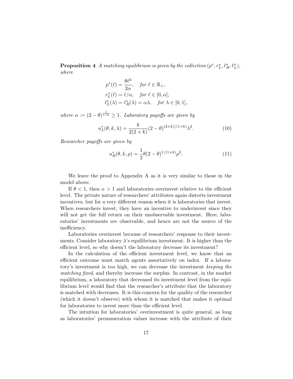**Proposition 4** A matching equilibrium is given by the collection  $(p^*, r_L^*, \ell_R^*, \ell_L^*),$ where

$$
p^*(\ell) = \frac{\theta \ell^2}{2\alpha}, \quad \text{for } \ell \in \mathbb{R}_+,
$$
  
\n
$$
r_L^*(\ell) = \ell/\alpha, \quad \text{for } \ell \in [0, \alpha],
$$
  
\n
$$
\ell_L^*(\lambda) = \ell_R^*(\lambda) = \alpha \lambda, \quad \text{for } \lambda \in [0, 1],
$$

where  $\alpha := (2 - \theta)^{\frac{1}{1+k}} \geq 1$ . Laboratory payoffs are given by

<span id="page-19-0"></span>
$$
u_L^*(\theta, k, \lambda) = \frac{k}{2(2+k)} (2 - \theta)^{(2+k)/(1+k)} \lambda^2.
$$
 (10)

Researcher payoffs are given by

<span id="page-19-1"></span>
$$
u_R^*(\theta, k, \rho) = \frac{1}{2}\theta(2-\theta)^{1/(1+k)}\rho^2.
$$
 (11)

We leave the proof to Appendix [A](#page-27-0) as it is very similar to those in the model above.

If  $\theta$  < 1, then  $\alpha$  > 1 and laboratories overinvest relative to the efficient level. The private nature of researchers' attributes again distorts investment incentives, but for a very different reason when it is laboratories that invest. When researchers invest, they have an incentive to underinvest since they will not get the full return on their unobservable investment. Here, laboratories' investments are observable, and hence are not the source of the inefficiency.

Laboratories overinvest because of researchers' response to their investments. Consider laboratory  $\lambda$ 's equilibrium investment. It is higher than the efficient level, so why doesn't the laboratory decrease its investment?

In the calculation of the efficient investment level, we know that an efficient outcome must match agents assortatively on index. If a laboratory's investment is too high, we can decrease the investment keeping the matching fixed, and thereby increase the surplus. In contrast, in the market equilibrium, a laboratory that decreased its investment level from the equilibrium level would find that the researcher's attribute that the laboratory is matched with decreases. It is this concern for the quality of the researcher (which it doesn't observe) with whom it is matched that makes it optimal for laboratories to invest more than the efficient level.

The intuition for laboratories' overinvestment is quite general, as long as laboratories' premuneration values increase with the attribute of their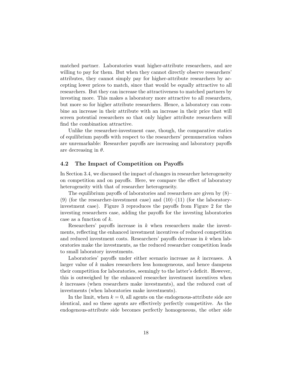matched partner. Laboratories want higher-attribute researchers, and are willing to pay for them. But when they cannot directly observe researchers' attributes, they cannot simply pay for higher-attribute researchers by accepting lower prices to match, since that would be equally attractive to all researchers. But they can increase the attractiveness to matched partners by investing more. This makes a laboratory more attractive to all researchers, but more so for higher attribute researchers. Hence, a laboratory can combine an increase in their attribute with an increase in their price that will screen potential researchers so that only higher attribute researchers will find the combination attractive.

Unlike the researcher-investment case, though, the comparative statics of equilibrium payoffs with respect to the researchers' premuneration values are unremarkable: Researcher payoffs are increasing and laboratory payoffs are decreasing in  $\theta$ .

#### <span id="page-20-0"></span>4.2 The Impact of Competition on Payoffs

In Section [3.4,](#page-15-0) we discussed the impact of changes in researcher heterogeneity on competition and on payoffs. Here, we compare the effect of laboratory heterogeneity with that of researcher heterogeneity.

The equilibrium payoffs of laboratories and researchers are given by [\(8\)](#page-13-1)– [\(9\)](#page-15-2) (for the researcher-investment case) and  $(10)$ – $(11)$  (for the laboratoryinvestment case). Figure [3](#page-21-0) reproduces the payoffs from Figure [2](#page-16-0) for the investing researchers case, adding the payoffs for the investing laboratories case as a function of k.

Researchers' payoffs increase in  $k$  when researchers make the investments, reflecting the enhanced investment incentives of reduced competition and reduced investment costs. Researchers' payoffs decrease in k when laboratories make the investments, as the reduced researcher competition leads to small laboratory investments.

Laboratories' payoffs under either scenario increase as k increases. A larger value of k makes researchers less homogeneous, and hence dampens their competition for laboratories, seemingly to the latter's deficit. However, this is outweighed by the enhanced researcher investment incentives when k increases (when researchers make investments), and the reduced cost of investments (when laboratories make investments).

In the limit, when  $k = 0$ , all agents on the endogenous-attribute side are identical, and so these agents are effectively perfectly competitive. As the endogenous-attribute side becomes perfectly homogeneous, the other side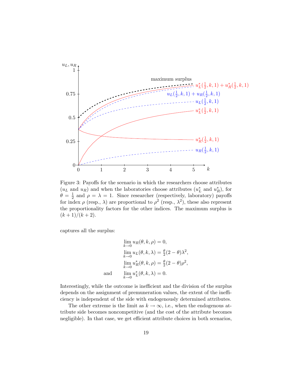

<span id="page-21-0"></span>Figure 3: Payoffs for the scenario in which the researchers choose attributes  $(u<sub>L</sub>$  and  $u<sub>R</sub>$ ) and when the laboratories choose attributes  $(u<sub>L</sub><sup>*</sup>$  and  $u<sub>R</sub><sup>*</sup>)$ , for  $\theta = \frac{1}{2}$  $\frac{1}{2}$  and  $\rho = \lambda = 1$ . Since researcher (respectively, laboratory) payoffs for index  $\rho$  (resp.,  $\lambda$ ) are proportional to  $\rho^2$  (resp.,  $\lambda^2$ ), these also represent the proportionality factors for the other indices. The maximum surplus is  $(k+1)/(k+2)$ .

captures all the surplus:

$$
\lim_{k \to 0} u_R(\theta, k, \rho) = 0,
$$
  
\n
$$
\lim_{k \to 0} u_L(\theta, k, \lambda) = \frac{\theta}{2} (2 - \theta) \lambda^2,
$$
  
\n
$$
\lim_{k \to 0} u_R^*(\theta, k, \rho) = \frac{\theta}{2} (2 - \theta) \rho^2,
$$
  
\nand  
\n
$$
\lim_{k \to 0} u_L^*(\theta, k, \lambda) = 0.
$$

Interestingly, while the outcome is inefficient and the division of the surplus depends on the assignment of premuneration values, the extent of the inefficiency is independent of the side with endogenously determined attributes.

The other extreme is the limit as  $k \to \infty$ , i.e., when the endogenous attribute side becomes noncompetitive (and the cost of the attribute becomes negligible). In that case, we get efficient attribute choices in both scenarios,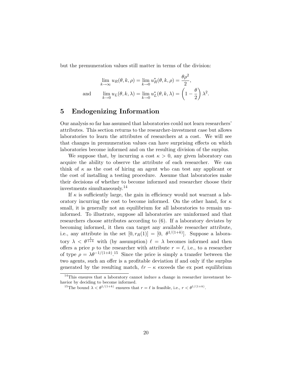but the premuneration values still matter in terms of the division:

$$
\lim_{k \to \infty} u_R(\theta, k, \rho) = \lim_{k \to 0} u_R^*(\theta, k, \rho) = \frac{\theta \rho^2}{2},
$$
  
and 
$$
\lim_{k \to 0} u_L(\theta, k, \lambda) = \lim_{k \to 0} u_L^*(\theta, k, \lambda) = \left(1 - \frac{\theta}{2}\right) \lambda^2.
$$

## <span id="page-22-0"></span>5 Endogenizing Information

Our analysis so far has assumed that laboratories could not learn researchers' attributes. This section returns to the researcher-investment case but allows laboratories to learn the attributes of researchers at a cost. We will see that changes in premuneration values can have surprising effects on which laboratories become informed and on the resulting division of the surplus.

We suppose that, by incurring a cost  $\kappa > 0$ , any given laboratory can acquire the ability to observe the attribute of each researcher. We can think of  $\kappa$  as the cost of hiring an agent who can test any applicant or the cost of installing a testing procedure. Assume that laboratories make their decisions of whether to become informed and researcher choose their investments simultaneously.[14](#page-22-1)

If  $\kappa$  is sufficiently large, the gain in efficiency would not warrant a laboratory incurring the cost to become informed. On the other hand, for  $\kappa$ small, it is generally not an equilibrium for all laboratories to remain uninformed. To illustrate, suppose all laboratories are uninformed and that researchers choose attributes according to [\(6\)](#page-12-3). If a laboratory deviates by becoming informed, it then can target any available researcher attribute, i.e., any attribute in the set  $[0, r_R(1)] = [0, \theta^{1/(1+k)}]$ . Suppose a laboratory  $\lambda < \theta^{\frac{1}{1+k}}$  with (by assumption)  $\ell = \lambda$  becomes informed and then offers a price p to the researcher with attribute  $r = \ell$ , i.e., to a researcher of type  $\rho = \lambda \theta^{-1/(1+k)}$ .<sup>[15](#page-22-2)</sup> Since the price is simply a transfer between the two agents, such an offer is a profitable deviation if and only if the surplus generated by the resulting match,  $\ell r - \kappa$  exceeds the ex post equilibrium

<span id="page-22-1"></span><sup>14</sup>This ensures that a laboratory cannot induce a change in researcher investment behavior by deciding to become informed.

<span id="page-22-2"></span><sup>&</sup>lt;sup>15</sup>The bound  $\lambda < \theta^{1/(1+k)}$  ensures that  $r = \ell$  is feasible, i.e.,  $r < \theta^{1/(1+k)}$ .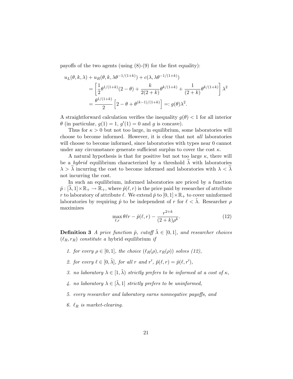payoffs of the two agents (using  $(8)-(9)$  $(8)-(9)$  $(8)-(9)$  for the first equality):

$$
u_L(\theta, k, \lambda) + u_R(\theta, k, \lambda \theta^{-1/(1+k)}) + c(\lambda, \lambda \theta^{-1/(1+k)})
$$
  
=  $\left[ \frac{1}{2} \theta^{1/(1+k)} (2 - \theta) + \frac{k}{2(2+k)} \theta^{k/(1+k)} + \frac{1}{(2+k)} \theta^{k/(1+k)} \right] \lambda^2$   
=  $\frac{\theta^{1/(1+k)}}{2} \left[ 2 - \theta + \theta^{(k-1)/(1+k)} \right] =: g(\theta) \lambda^2.$ 

A straightforward calculation verifies the inequality  $g(\theta) < 1$  for all interior  $\theta$  (in particular,  $g(1) = 1$ ,  $g'(1) = 0$  and g is concave).

Thus for  $\kappa > 0$  but not too large, in equilibrium, some laboratories will choose to become informed. However, it is clear that not all laboratories will choose to become informed, since laboratories with types near 0 cannot under any circumstance generate sufficient surplus to cover the cost  $\kappa$ .

A natural hypothesis is that for positive but not too large  $\kappa$ , there will be a *hybrid* equilibrium characterized by a threshold  $\lambda$  with laboratories  $\lambda > \lambda$  incurring the cost to become informed and laboratories with  $\lambda < \lambda$ not incurring the cost.

In such an equilibrium, informed laboratories are priced by a function  $\hat{p}: [\lambda, 1] \times \mathbb{R}_+ \to \mathbb{R}_+$ , where  $\hat{p}(\ell, r)$  is the price paid by researcher of attribute r to laboratory of attribute  $\ell$ . We extend  $\hat{p}$  to  $[0, 1] \times \mathbb{R}_+$  to cover uninformed laboratories by requiring  $\hat{p}$  to be independent of r for  $\ell < \lambda$ . Researcher  $\rho$ maximizes

<span id="page-23-0"></span>
$$
\max_{\ell,r} \theta \ell r - \hat{p}(\ell,r) - \frac{r^{2+k}}{(2+k)\rho^k}.\tag{12}
$$

**Definition 3** A price function  $\hat{p}$ , cutoff  $\tilde{\lambda} \in [0,1]$ , and researcher choices  $(\ell_R, r_R)$  constitute a hybrid equilibrium if

- 1. for every  $\rho \in [0,1]$ , the choice  $(\ell_R(\rho), r_R(\rho))$  solves [\(12\)](#page-23-0),
- 2. for every  $\ell \in [0, \tilde{\lambda}],$  for all r and r',  $\hat{p}(\ell, r) = \hat{p}(\ell, r'),$
- 3. no laboratory  $\lambda \in [1, \tilde{\lambda})$  strictly prefers to be informed at a cost of  $\kappa$ ,
- 4. no laboratory  $\lambda \in [\tilde{\lambda}, 1]$  strictly prefers to be uninformed,
- 5. every researcher and laboratory earns nonnegative payoffs, and
- 6.  $\ell_R$  is market-clearing.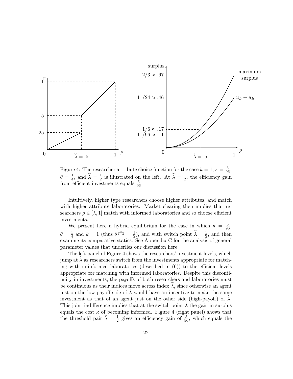

<span id="page-24-0"></span>Figure 4: The researcher attribute choice function for the case  $k = 1, \kappa = \frac{5}{96}$ ,  $\theta = \frac{1}{4}$  $\frac{1}{4}$ , and  $\widetilde{\lambda} = \frac{1}{2}$  $\frac{1}{2}$  is illustrated on the left. At  $\widetilde{\lambda} = \frac{1}{2}$  $\frac{1}{2}$ , the efficiency gain from efficient investments equals  $\frac{5}{96}$ .

Intuitively, higher type researchers choose higher attributes, and match with higher attribute laboratories. Market clearing then implies that researchers  $\rho \in [\lambda, 1]$  match with informed laboratories and so choose efficient investments.

We present here a hybrid equilibrium for the case in which  $\kappa = \frac{5}{96}$ ,  $\theta = \frac{1}{4}$  $\frac{1}{4}$  and  $k = 1$  (thus  $\theta^{\frac{1}{1+k}} = \frac{1}{2}$  $(\frac{1}{2})$ , and with switch point  $\tilde{\lambda} = \frac{1}{2}$  $\frac{1}{2}$ , and then examine its comparative statics. See Appendix [C](#page-31-1) for the analysis of general parameter values that underlies our discussion here.

The left panel of Figure [4](#page-24-0) shows the researchers' investment levels, which jump at  $\lambda$  as researchers switch from the investments appropriate for matching with uninformed laboratories (described in  $(6)$ ) to the efficient levels appropriate for matching with informed laboratories. Despite this discontinuity in investments, the payoffs of both researchers and laboratories must be continuous as their indices move across index  $\lambda$ , since otherwise an agent just on the low-payoff side of  $\lambda$  would have an incentive to make the same investment as that of an agent just on the other side (high-payoff) of  $\lambda$ . This joint indifference implies that at the switch point  $\lambda$  the gain in surplus equals the cost  $\kappa$  of becoming informed. Figure [4](#page-24-0) (right panel) shows that the threshold pair  $\tilde{\lambda} = \frac{1}{2}$  $\frac{1}{2}$  gives an efficiency gain of  $\frac{5}{96}$ , which equals the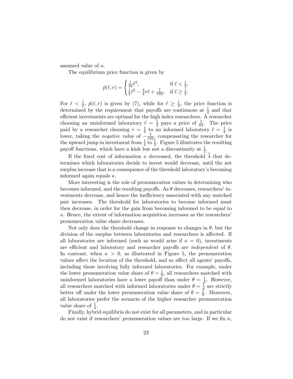assumed value of  $\kappa$ .

The equilibrium price function is given by

$$
\hat{p}(\ell,r) = \begin{cases} \frac{1}{16}\ell^2, & \text{if } \ell < \frac{1}{2},\\ \frac{1}{2}\ell^2 - \frac{3}{4}r\ell + \frac{7}{192}, & \text{if } \ell \geq \frac{1}{2}. \end{cases}
$$

For  $\ell < \frac{1}{2}$ ,  $\hat{p}(\ell, r)$  is given by [\(7\)](#page-13-2), while for  $\ell \geq \frac{1}{2}$  $\frac{1}{2}$ , the price function is determined by the requirement that payoffs are continuous at  $\frac{1}{2}$  and that efficient investments are optimal for the high index researchers. A researcher choosing an uninformed laboratory  $\ell = \frac{1}{2}$  $\frac{1}{2}$  pays a price of  $\frac{1}{64}$ . The price paid by a researcher choosing  $r = \frac{1}{2}$  $\frac{1}{2}$  to an informed laboratory  $\ell = \frac{1}{2}$  $rac{1}{2}$  is lower, taking the *negative* value of  $-\frac{5}{192}$ , compensating the researcher for the upward jump in investment from  $\frac{1}{4}$  to  $\frac{1}{2}$ . Figure [5](#page-26-0) illustrates the resulting payoff functions, which have a kink but not a discontinuity at  $\frac{1}{2}$ .

If the fixed cost of information  $\kappa$  decreased, the threshold  $\lambda$  that determines which laboratories decide to invest would decrease, until the net surplus increase that is a consequence of the threshold laboratory's becoming informed again equals  $\kappa$ .

More interesting is the role of premuneration values in determining who becomes informed, and the resulting payoffs. As  $\theta$  decreases, researchers' investments decrease, and hence the inefficiency associated with any matched pair increases. The threshold for laboratories to become informed must then decrease, in order for the gain from becoming informed to be equal to  $\kappa$ . Hence, the extent of information acquisition increases as the researchers' premuneration value share decreases.

Not only does the threshold change in response to changes in  $\theta$ , but the division of the surplus between laboratories and researchers is affected. If all laboratories are informed (such as would arise if  $\kappa = 0$ ), investments are efficient and laboratory and researcher payoffs are *independent* of  $\theta$ . In contrast, when  $\kappa > 0$ , as illustrated in Figure [5,](#page-26-0) the premuneration values affect the location of the threshold, and so affect all agents' payoffs, including those involving fully informed laboratories. For example, under the lower premuneration value share of  $\theta = \frac{1}{9}$  $\frac{1}{9}$ , all researchers matched with uninformed laboratories have a lower payoff than under  $\theta = \frac{1}{4}$  $\frac{1}{4}$ . However, all researchers matched with informed laboratories under  $\theta = \frac{1}{4}$  $\frac{1}{4}$  are strictly better off under the lower premuneration value share of  $\theta = \frac{1}{9}$  $\frac{1}{9}$ . Moreover, all laboratories prefer the scenario of the higher researcher premuneration value share of  $\frac{1}{4}$ .

Finally, hybrid equilibria do not exist for all parameters, and in particular do not exist if researchers' premuneration values are too large. If we fix  $\kappa$ ,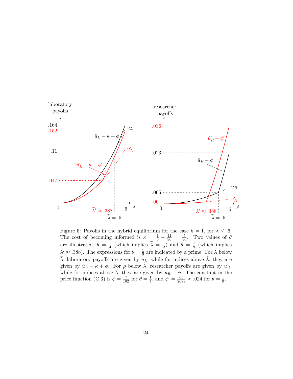

<span id="page-26-0"></span>Figure 5: Payoffs in the hybrid equilibrium for the case  $k = 1$ , for  $\lambda \leq .6$ . The cost of becoming informed is  $\kappa = \frac{1}{6} - \frac{11}{96} = \frac{5}{96}$ . Two values of  $\theta$ are illustrated,  $\theta = \frac{1}{4}$  $\frac{1}{4}$  (which implies  $\widetilde{\lambda} = \frac{1}{2}$  $\frac{1}{2}$ ) and  $\theta = \frac{1}{9}$  $\frac{1}{9}$  (which implies  $\widetilde{\lambda}' \approx .388$ . The expressions for  $\theta = \frac{1}{9}$  $\frac{1}{9}$  are indicated by a prime. For  $\lambda$  below  $\tilde{\lambda}$ , laboratory payoffs are given by  $u<sub>L</sub>$ , while for indices above  $\tilde{\lambda}$ , they are given by  $\hat{u}_L - \kappa + \phi$ . For  $\rho$  below  $\tilde{\lambda}$ , researcher payoffs are given by  $u_R$ , while for indices above  $\lambda$ , they are given by  $\hat{u}_R - \phi$ . The constant in the price function [\(C.3\)](#page-32-1) is  $\phi = \frac{7}{192}$  for  $\theta = \frac{1}{4}$  $\frac{1}{4}$ , and  $\phi' = \frac{65}{2688} \approx .024$  for  $\theta = \frac{1}{9}$  $\frac{1}{9}$ .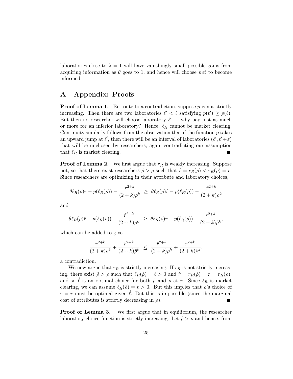laboratories close to  $\lambda = 1$  will have vanishingly small possible gains from acquiring information as  $\theta$  goes to 1, and hence will choose not to become informed.

# <span id="page-27-0"></span>A Appendix: Proofs

**Proof of Lemma [1.](#page-11-3)** En route to a contradiction, suppose  $p$  is not strictly increasing. Then there are two laboratories  $\ell' < \ell$  satisfying  $p(\ell') \geq p(\ell)$ . But then no researcher will choose laboratory  $\ell'$  — why pay just as much or more for an inferior laboratory? Hence,  $\ell_R$  cannot be market clearing. Continuity similarly follows from the observation that if the function  $p$  takes an upward jump at  $\ell'$ , then there will be an interval of laboratories  $(\ell', \ell' + \varepsilon)$ that will be unchosen by researchers, again contradicting our assumption that  $\ell_R$  is market clearing.

**Proof of Lemma [2.](#page-11-4)** We first argue that  $r_R$  is weakly increasing. Suppose not, so that there exist researchers  $\hat{\rho} > \rho$  such that  $\hat{r} = r_R(\hat{\rho}) < r_R(\rho) = r$ . Since researchers are optimizing in their attribute and laboratory choices,

$$
\theta \ell_R(\rho) r - p(\ell_R(\rho)) - \frac{r^{2+k}}{(2+k)\rho^k} \geq \theta \ell_R(\hat{\rho}) \hat{r} - p(\ell_R(\hat{\rho})) - \frac{\hat{r}^{2+k}}{(2+k)\rho^k}
$$

and

$$
\theta \ell_R(\hat{\rho})\hat{r} - p(\ell_R(\hat{\rho})) - \frac{\hat{r}^{2+k}}{(2+k)\hat{\rho}^k} \geq \theta \ell_R(\rho)r - p(\ell_R(\rho)) - \frac{r^{2+k}}{(2+k)\hat{\rho}^k},
$$

which can be added to give

$$
\frac{r^{2+k}}{(2+k)\rho^k} + \frac{\hat{r}^{2+k}}{(2+k)\hat{\rho}^k} \le \frac{\hat{r}^{2+k}}{(2+k)\rho^k} + \frac{r^{2+k}}{(2+k)\hat{\rho}^k},
$$

a contradiction.

We now argue that  $r_R$  is strictly increasing. If  $r_R$  is not strictly increasing, there exist  $\hat{\rho} > \rho$  such that  $\ell_R(\hat{\rho}) = \hat{\ell} > 0$  and  $\hat{r} = r_R(\hat{\rho}) = r = r_R(\rho)$ , and so  $\ell$  is an optimal choice for both  $\rho$  and  $\rho$  at r. Since  $\ell_R$  is market clearing, we can assume  $\ell_R(\hat{\rho}) = \hat{\ell} > 0$ . But this implies that  $\rho$ 's choice of  $r = \hat{r}$  must be optimal given  $\ell$ . But this is impossible (since the marginal cost of attributes is strictly decreasing in  $\rho$ ).

**Proof of Lemma [3.](#page-11-5)** We first argue that in equilibrium, the researcher laboratory-choice function is strictly increasing. Let  $\hat{\rho} > \rho$  and hence, from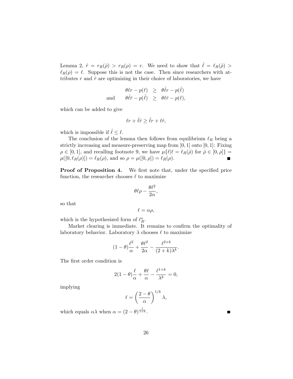Lemma [2,](#page-11-4)  $\hat{r} = r_R(\hat{\rho}) > r_R(\rho) = r$ . We need to show that  $\hat{\ell} = \ell_R(\hat{\rho}) >$  $\ell_R(\rho) = \ell$ . Suppose this is not the case. Then since researchers with attributes  $r$  and  $\hat{r}$  are optimizing in their choice of laboratories, we have

$$
\begin{array}{rcl}\n\theta \ell r - p(\ell) & \geq & \theta \hat{\ell} r - p(\hat{\ell}) \\
\text{and} & \theta \hat{\ell} \hat{r} - p(\hat{\ell}) & \geq & \theta \ell \hat{r} - p(\ell),\n\end{array}
$$

which can be added to give

$$
\ell r + \hat{\ell}\hat{r} \ge \hat{\ell}r + \ell \hat{r},
$$

which is impossible if  $\hat{\ell} \leq \ell$ .

The conclusion of the lemma then follows from equilibrium  $\ell_R$  being a strictly increasing and measure-preserving map from  $[0, 1]$  onto  $[0, 1]$ : Fixing  $\rho \in [0, 1]$ , and recalling footnote [9,](#page-10-1) we have  $\mu\{\ell | \ell = \ell_R(\hat{\rho}) \text{ for } \hat{\rho} \in [0, \rho]\} =$  $\mu([0, \ell_R(\rho)]) = \ell_R(\rho)$ , and so  $\rho = \mu([0, \rho]) = \ell_R(\rho)$ .

**Proof of Proposition [4.](#page-18-1)** We first note that, under the specified price function, the researcher chooses  $\ell$  to maximize

$$
\theta\ell\rho-\frac{\theta\ell^2}{2\alpha},
$$

so that

$$
\ell = \alpha \rho,
$$

which is the hypothesized form of  $\ell_R^*$ .

Market clearing is immediate. It remains to confirm the optimality of laboratory behavior. Laboratory  $\lambda$  chooses  $\ell$  to maximize

$$
(1 - \theta) \frac{\ell^2}{\alpha} + \frac{\theta \ell^2}{2\alpha} - \frac{\ell^{2+k}}{(2+k)\lambda^k}.
$$

The first order condition is

$$
2(1 - \theta)\frac{\ell}{\alpha} + \frac{\theta\ell}{\alpha} - \frac{\ell^{1+k}}{\lambda^k} = 0,
$$

implying

$$
\ell = \left(\frac{2-\theta}{\alpha}\right)^{1/k} \lambda,
$$

which equals  $\alpha\lambda$  when  $\alpha = (2 - \theta)^{\frac{1}{1+k}}$ .

Г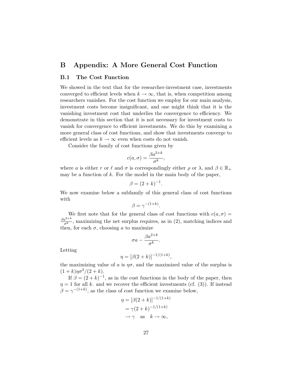# <span id="page-29-0"></span>B Appendix: A More General Cost Function

### <span id="page-29-1"></span>B.1 The Cost Function

We showed in the text that for the researcher-investment case, investments converged to efficient levels when  $k \to \infty$ , that is, when competition among researchers vanishes. For the cost function we employ for our main analysis, investment costs become insignificant, and one might think that it is the vanishing investment cost that underlies the convergence to efficiency. We demonstrate in this section that it is not necessary for investment costs to vanish for convergence to efficient investments. We do this by examining a more general class of cost functions, and show that investments converge to efficient levels as  $k \to \infty$  even when costs do not vanish.

Consider the family of cost functions given by

$$
c(a,\sigma) = \frac{\beta a^{2+k}}{\sigma^k},
$$

where a is either r or  $\ell$  and  $\sigma$  is correspondingly either  $\rho$  or  $\lambda$ , and  $\beta \in \mathbb{R}_+$ may be a function of  $k$ . For the model in the main body of the paper,

$$
\beta = (2+k)^{-1}
$$

.

We now examine below a subfamily of this general class of cost functions with

$$
\beta = \gamma^{-(1+k)}.
$$

We first note that for the general class of cost functions with  $c(a, \sigma)$  =  $\beta a^{2+k}$  $\frac{a^{2+n}}{\sigma^k}$ , maximizing the net surplus requires, as in [\(2\)](#page-12-5), matching indices and then, for each  $\sigma$ , choosing a to maximize

$$
\sigma a - \frac{\beta a^{2+k}}{\sigma^k}.
$$

Letting

$$
\eta = [\beta(2+k)]^{-1/(1+k)},
$$

the maximizing value of a is  $\eta\sigma$ , and the maximized value of the surplus is  $(1 + k)\eta\sigma^2/(2 + k).$ 

If  $\beta = (2 + k)^{-1}$ , as in the cost functions in the body of the paper, then  $\eta = 1$  for all k. and we recover the efficient investments (cf. [\(3\)](#page-12-6)). If instead  $\beta = \gamma^{-(1+k)}$ , as the class of cost function we examine below,

$$
\eta = [\beta(2+k)]^{-1/(1+k)}
$$
  
=  $\gamma(2+k)^{-1/(1+k)}$   
 $\rightarrow \gamma$  as  $k \rightarrow \infty$ ,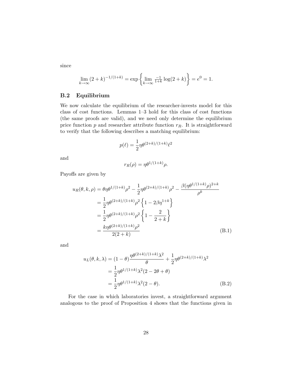since

$$
\lim_{k \to \infty} (2 + k)^{-1/(1+k)} = \exp \left\{ \lim_{k \to \infty} \frac{-1}{1+k} \log(2 + k) \right\} = e^0 = 1.
$$

### <span id="page-30-0"></span>B.2 Equilibrium

We now calculate the equilibrium of the researcher-invests model for this class of cost functions. Lemmas [1](#page-11-3)[–3](#page-11-5) hold for this class of cost functions (the same proofs are valid), and we need only determine the equilibrium price function  $p$  and researcher attribute function  $r_R$ . It is straightforward to verify that the following describes a matching equilibrium:

$$
p(\ell) = \frac{1}{2} \eta \theta^{(2+k)/(1+k)} \ell^2
$$

and

<span id="page-30-1"></span>
$$
r_R(\rho) = \eta \theta^{1/(1+k)} \rho.
$$

Payoffs are given by

$$
u_R(\theta, k, \rho) = \theta \eta \theta^{1/(1+k)} \rho^2 - \frac{1}{2} \eta \theta^{(2+k)/(1+k)} \rho^2 - \frac{\beta (\eta \theta^{1/(1+k)} \rho)^{2+k}}{\rho^k}
$$
  

$$
= \frac{1}{2} \eta \theta^{(2+k)/(1+k)} \rho^2 \left\{ 1 - 2\beta \eta^{1+k} \right\}
$$
  

$$
= \frac{1}{2} \eta \theta^{(2+k)/(1+k)} \rho^2 \left\{ 1 - \frac{2}{2+k} \right\}
$$
  

$$
= \frac{k \eta \theta^{(2+k)/(1+k)} \rho^2}{2(2+k)}
$$
 (B.1)

and

<span id="page-30-2"></span>
$$
u_L(\theta, k, \lambda) = (1 - \theta) \frac{\eta \theta^{(2+k)/(1+k)} \lambda^2}{\theta} + \frac{1}{2} \eta \theta^{(2+k)/(1+k)} \lambda^2
$$
  
=  $\frac{1}{2} \eta \theta^{1/(1+k)} \lambda^2 (2 - 2\theta + \theta)$   
=  $\frac{1}{2} \eta \theta^{1/(1+k)} \lambda^2 (2 - \theta).$  (B.2)

For the case in which laboratories invest, a straightforward argument analogous to the proof of Proposition [4](#page-18-1) shows that the functions given in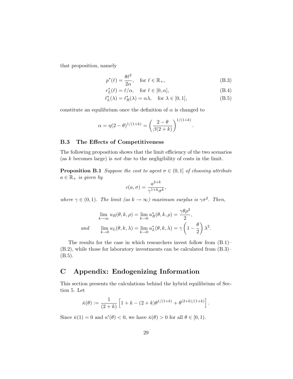that proposition, namely

$$
p^*(\ell) = \frac{\theta \ell^2}{2\alpha}, \quad \text{for } \ell \in \mathbb{R}_+, \tag{B.3}
$$

$$
r_L^*(\ell) = \ell/\alpha, \quad \text{for } \ell \in [0, \alpha], \tag{B.4}
$$

$$
\ell_L^*(\lambda) = \ell_R^*(\lambda) = \alpha \lambda, \quad \text{for } \lambda \in [0, 1], \tag{B.5}
$$

<span id="page-31-3"></span><span id="page-31-2"></span>.

constitute an equilibrium once the definition of  $\alpha$  is changed to

$$
\alpha = \eta (2 - \theta)^{1/(1 + k)} = \left(\frac{2 - \theta}{\beta (2 + k)}\right)^{1/(1 + k)}
$$

#### <span id="page-31-0"></span>B.3 The Effects of Competitiveness

The following proposition shows that the limit efficiency of the two scenarios (as k becomes large) is *not* due to the negligibility of costs in the limit.

**Proposition B.1** Suppose the cost to agent  $\sigma \in (0,1]$  of choosing attribute  $a \in \mathbb{R}_+$  is given by

$$
c(a,\sigma) = \frac{a^{2+k}}{\gamma^{1+k}\sigma^k},
$$

where  $\gamma \in (0,1)$ . The limit  $(as k \to \infty)$  maximum surplus is  $\gamma \sigma^2$ . Then,

$$
\lim_{k \to \infty} u_R(\theta, k, \rho) = \lim_{k \to 0} u_R^*(\theta, k, \rho) = \frac{\gamma \theta \rho^2}{2},
$$
  
and 
$$
\lim_{k \to 0} u_L(\theta, k, \lambda) = \lim_{k \to 0} u_L^*(\theta, k, \lambda) = \gamma \left(1 - \frac{\theta}{2}\right) \lambda^2.
$$

The results for the case in which researchers invest follow from  $(B.1)$ – [\(B.2\)](#page-30-2), while those for laboratory investments can be calculated from [\(B.3\)](#page-31-2)– [\(B.5\)](#page-31-3).

# <span id="page-31-1"></span>C Appendix: Endogenizing Information

This section presents the calculations behind the hybrid equilibrium of Section [5.](#page-22-0) Let

$$
\bar{\kappa}(\theta) := \frac{1}{(2+k)} \left[ 1 + k - (2+k) \theta^{1/(1+k)} + \theta^{(2+k)/(1+k)} \right].
$$

Since  $\bar{\kappa}(1) = 0$  and  $\kappa'(\theta) < 0$ , we have  $\bar{\kappa}(\theta) > 0$  for all  $\theta \in [0, 1)$ .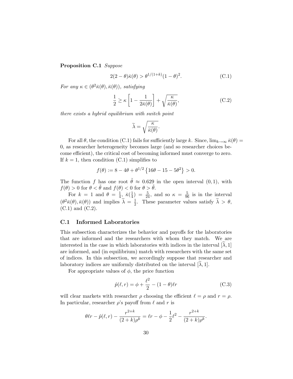Proposition C.1 Suppose

<span id="page-32-2"></span>
$$
2(2 - \theta)\bar{\kappa}(\theta) > \theta^{1/(1+k)}(1 - \theta)^2.
$$
 (C.1)

For any  $\kappa \in (\theta^2 \bar{\kappa}(\theta), \bar{\kappa}(\theta))$ , satisfying

<span id="page-32-3"></span>
$$
\frac{1}{2} \ge \kappa \left[ 1 - \frac{1}{2\bar{\kappa}(\theta)} \right] + \sqrt{\frac{\kappa}{\bar{\kappa}(\theta)}},\tag{C.2}
$$

there exists a hybrid equilibrium with switch point

$$
\widetilde{\lambda}=\sqrt{\frac{\kappa}{\bar{\kappa}(\theta)}}.
$$

For all  $\theta$ , the condition [\(C.1\)](#page-32-2) fails for sufficiently large k. Since,  $\lim_{k\to\infty} \bar{\kappa}(\theta) =$ 0, as researcher heterogeneity becomes large (and so researcher choices become efficient), the critical cost of becoming informed must converge to zero. If  $k = 1$ , then condition [\(C.1\)](#page-32-2) simplifies to

$$
f(\theta) := 8 - 4\theta + \theta^{1/2} \left\{ 16\theta - 15 - 5\theta^2 \right\} > 0.
$$

The function f has one root  $\tilde{\theta} \approx 0.629$  in the open interval  $(0, 1)$ , with  $f(\theta) > 0$  for  $\theta < \tilde{\theta}$  and  $f(\theta) < 0$  for  $\theta > \tilde{\theta}$ .

For  $k = 1$  and  $\theta = \frac{1}{4}$  $rac{1}{4}, \bar{\kappa}(\frac{1}{4})$  $\frac{1}{4}$ ) =  $\frac{5}{24}$ , and so  $\kappa = \frac{5}{96}$  is in the interval  $(\theta^2 \bar{\kappa}(\theta), \bar{\kappa}(\theta))$  and implies  $\tilde{\lambda} = \frac{1}{2}$  $\frac{1}{2}$ . These parameter values satisfy  $\lambda > \theta$ , [\(C.1\)](#page-32-2) and [\(C.2\)](#page-32-3).

#### <span id="page-32-0"></span>C.1 Informed Laboratories

This subsection characterizes the behavior and payoffs for the laboratories that are informed and the researchers with whom they match. We are interested in the case in which laboratories with indices in the interval  $[\lambda, 1]$ are informed, and (in equilibrium) match with researchers with the same set of indices. In this subsection, we accordingly suppose that researcher and laboratory indices are uniformly distributed on the interval  $[\lambda, 1]$ .

For appropriate values of  $\phi$ , the price function

<span id="page-32-1"></span>
$$
\hat{p}(\ell, r) = \phi + \frac{\ell^2}{2} - (1 - \theta)\ell r \tag{C.3}
$$

will clear markets with researcher  $\rho$  choosing the efficient  $\ell = \rho$  and  $r = \rho$ . In particular, researcher  $\rho$ 's payoff from  $\ell$  and r is

$$
\theta \ell r - \hat{p}(\ell, r) - \frac{r^{2+k}}{(2+k)\rho^k} = \ell r - \phi - \frac{1}{2}\ell^2 - \frac{r^{2+k}}{(2+k)\rho^k}.
$$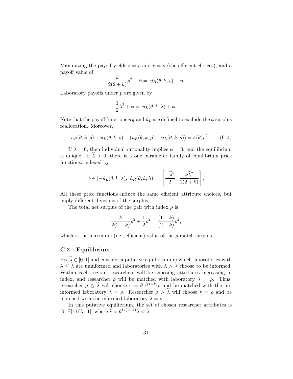Maximizing the payoff yields  $\ell = \rho$  and  $r = \rho$  (the efficient choices), and a payoff value of

$$
\frac{k}{2(2+k)}\rho^2 - \phi =: \hat{u}_R(\theta, k, \rho) - \phi.
$$

Laboratory payoffs under  $\hat{p}$  are given by

$$
\frac{1}{2}\lambda^2 + \phi =: \hat{u}_L(\theta, k, \lambda) + \phi.
$$

Note that the payoff functions  $\hat{u}_R$  and  $\hat{u}_L$  are defined to exclude the  $\phi$  surplus reallocation. Moreover,

<span id="page-33-1"></span>
$$
\hat{u}_R(\theta, k, \rho) + \hat{u}_L(\theta, k, \rho) - (u_R(\theta, k, \rho) + u_L(\theta, k, \rho)) = \bar{\kappa}(\theta)\rho^2.
$$
 (C.4)

If  $\tilde{\lambda} = 0$ , then individual rationality implies  $\phi = 0$ , and the equilibrium is unique. If  $\tilde{\lambda} > 0$ , there is a one parameter family of equilibrium price functions, indexed by

$$
\phi \in [-\hat{u}_L(\theta, k, \widetilde{\lambda}), \ \hat{u}_R(\theta, k, \widetilde{\lambda})] = \left[\frac{-\widetilde{\lambda}^2}{2}, \ \frac{k\widetilde{\lambda}^2}{2(2+k)}\right].
$$

All these price functions induce the same efficient attribute choices, but imply different divisions of the surplus.

The total net surplus of the pair with index  $\rho$  is

$$
\frac{k}{2(2+k)}\rho^2 + \frac{1}{2}\rho^2 = \frac{(1+k)}{(2+k)}\rho^2,
$$

which is the maximum (i.e., efficient) value of the  $\rho$ -match surplus.

#### <span id="page-33-0"></span>C.2 Equilibrium

Fix  $\tilde{\lambda} \in [0, 1]$  and consider a putative equilibrium in which laboratories with  $\lambda \leq \tilde{\lambda}$  are uninformed and laboratories with  $\lambda > \tilde{\lambda}$  choose to be informed. Within each region, researchers will be choosing attributes increasing in index, and researcher  $\rho$  will be matched with laboratory  $\lambda = \rho$ . Thus, researcher  $\rho \leq \lambda$  will choose  $r = \theta^{1/(1+k)}\rho$  and be matched with the uninformed laboratory  $\lambda = \rho$ . Researcher  $\rho > \tilde{\lambda}$  will choose  $r = \rho$  and be matched with the informed laboratory  $\lambda = \rho$ .

In this putative equilibrium, the set of chosen researcher attributes is [0,  $\widetilde{r} \cup (\lambda, 1]$ , where  $\widetilde{r} = \theta^{1/(1+k)}\lambda < \lambda$ .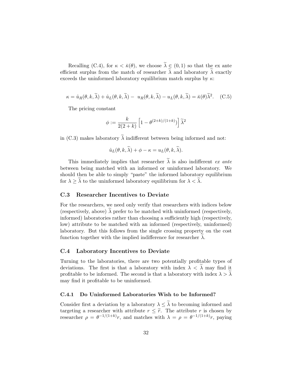Recalling [\(C.4\)](#page-33-1), for  $\kappa < \bar{\kappa}(\theta)$ , we choose  $\tilde{\lambda} \in (0,1)$  so that the ex ante efficient surplus from the match of researcher  $\lambda$  and laboratory  $\lambda$  exactly exceeds the uninformed laboratory equilibrium match surplus by  $\kappa$ :

<span id="page-34-3"></span>
$$
\kappa = \hat{u}_R(\theta, k, \tilde{\lambda}) + \hat{u}_L(\theta, k, \tilde{\lambda}) - u_R(\theta, k, \tilde{\lambda}) - u_L(\theta, k, \tilde{\lambda}) = \bar{\kappa}(\theta) \tilde{\lambda}^2. \quad (C.5)
$$

The pricing constant

$$
\phi:=\frac{k}{2(2+k)}\left[1-\theta^{(2+k)/(1+k)})\right]\widetilde{\lambda}^2
$$

in [\(C.3\)](#page-32-1) makes laboratory  $\tilde{\lambda}$  indifferent between being informed and not:

$$
\hat{u}_L(\theta, k, \lambda) + \phi - \kappa = u_L(\theta, k, \lambda).
$$

This immediately implies that researcher  $\tilde{\lambda}$  is also indifferent ex ante between being matched with an informed or uninformed laboratory. We should then be able to simply "paste" the informed laboratory equilibrium for  $\lambda \geq \lambda$  to the uninformed laboratory equilibrium for  $\lambda < \lambda$ .

#### <span id="page-34-0"></span>C.3 Researcher Incentives to Deviate

For the researchers, we need only verify that researchers with indices below (respectively, above)  $\lambda$  prefer to be matched with uninformed (respectively, informed) laboratories rather than choosing a sufficiently high (respectively, low) attribute to be matched with an informed (respectively, uninformed) laboratory. But this follows from the single crossing property on the cost function together with the implied indifference for researcher  $\lambda$ .

#### <span id="page-34-1"></span>C.4 Laboratory Incentives to Deviate

Turning to the laboratories, there are two potentially profitable types of deviations. The first is that a laboratory with index  $\lambda < \lambda$  may find it profitable to be informed. The second is that a laboratory with index  $\lambda > \lambda$ may find it profitable to be uninformed.

#### <span id="page-34-2"></span>C.4.1 Do Uninformed Laboratories Wish to be Informed?

Consider first a deviation by a laboratory  $\lambda \leq \tilde{\lambda}$  to becoming informed and targeting a researcher with attribute  $r \leq \tilde{r}$ . The attribute r is chosen by researcher  $\rho = \theta^{-1/(1+k)}r$ , and matches with  $\lambda = \rho = \theta^{-1/(1+k)}r$ , paying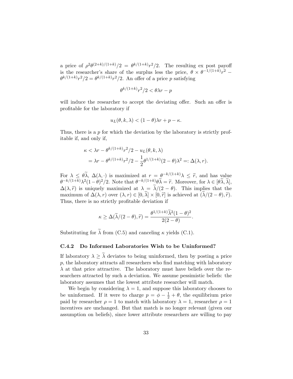a price of  $\rho^2 \theta^{(2+k)/(1+k)}/2 = \theta^{k/(1+k)} r^2/2$ . The resulting ex post payoff is the researcher's share of the surplus less the price,  $\theta \times \theta^{-1/(1+k)}r^2$  $\theta^{k/(1+k)}r^2/2 = \theta^{k/(1+k)}r^2/2$ . An offer of a price p satisfying

$$
\theta^{k/(1+k)}r^2/2 < \theta\lambda r - p
$$

will induce the researcher to accept the deviating offer. Such an offer is profitable for the laboratory if

$$
u_L(\theta, k, \lambda) < (1 - \theta)\lambda r + p - \kappa.
$$

Thus, there is a p for which the deviation by the laboratory is strictly profitable if, and only if,

$$
\kappa < \lambda r - \theta^{k/(1+k)} r^2 / 2 - u_L(\theta, k, \lambda)
$$
  
=  $\lambda r - \theta^{k/(1+k)} r^2 / 2 - \frac{1}{2} \theta^{1/(1+k)} (2 - \theta) \lambda^2 =: \Delta(\lambda, r).$ 

For  $\lambda \leq \theta \tilde{\lambda}$ ,  $\Delta(\lambda, \cdot)$  is maximized at  $r = \theta^{-k/(1+k)} \lambda \leq \tilde{r}$ , and has value  $\theta^{-k/(1+k)} \lambda^2 (1-\theta)^2/2$ . Note that  $\theta^{-k/(1+k)} \theta \tilde{\lambda} = \tilde{r}$ . Moreover, for  $\lambda \in [\theta \tilde{\lambda}, \tilde{\lambda}],$  $\Delta(\lambda, \tilde{r})$  is uniquely maximized at  $\lambda = \tilde{\lambda}/(2 - \theta)$ . This implies that the maximum of  $\Delta(\lambda, r)$  over  $(\lambda, r) \in [0, \lambda] \times [0, \tilde{r}]$  is achieved at  $(\lambda/(2 - \theta), \tilde{r})$ . Thus, there is no strictly profitable deviation if

$$
\kappa \geq \Delta(\widetilde{\lambda}/(2-\theta), \widetilde{r}) = \frac{\theta^{1/(1+k)}\widetilde{\lambda}^2(1-\theta)^2}{2(2-\theta)}.
$$

Substituting for  $\tilde{\lambda}$  from [\(C.5\)](#page-34-3) and canceling  $\kappa$  yields [\(C.1\)](#page-32-2).

#### <span id="page-35-0"></span>C.4.2 Do Informed Laboratories Wish to be Uninformed?

If laboratory  $\lambda \geq \tilde{\lambda}$  deviates to being uninformed, then by posting a price p, the laboratory attracts all researchers who find matching with laboratory  $\lambda$  at that price attractive. The laboratory must have beliefs over the researchers attracted by such a deviation. We assume pessimistic beliefs: the laboratory assumes that the lowest attribute researcher will match.

We begin by considering  $\lambda = 1$ , and suppose this laboratory chooses to be uninformed. If it were to charge  $p = \phi - \frac{1}{2} + \theta$ , the equilibrium price paid by researcher  $\rho = 1$  to match with laboratory  $\lambda = 1$ , researcher  $\rho = 1$ incentives are unchanged. But that match is no longer relevant (given our assumption on beliefs), since lower attribute researchers are willing to pay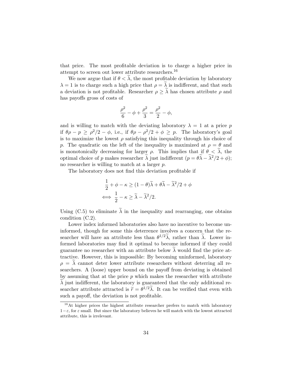that price. The most profitable deviation is to charge a higher price in attempt to screen out lower attribute researchers.[16](#page-36-1)

We now argue that if  $\theta < \lambda$ , the most profitable deviation by laboratory  $\lambda = 1$  is to charge such a high price that  $\rho = \lambda$  is indifferent, and that such a deviation is not profitable. Researcher  $\rho \geq \lambda$  has chosen attribute  $\rho$  and has payoffs gross of costs of

$$
\frac{\rho^2}{6} - \phi + \frac{\rho^2}{3} = \frac{\rho^2}{2} - \phi,
$$

and is willing to match with the deviating laboratory  $\lambda = 1$  at a price p if  $\theta \rho - p \ge \rho^2/2 - \phi$ , i.e., if  $\theta \rho - \rho^2/2 + \phi \ge p$ . The laboratory's goal is to maximize the lowest  $\rho$  satisfying this inequality through his choice of p. The quadratic on the left of the inequality is maximized at  $\rho = \theta$  and is monotonically decreasing for larger  $\rho$ . This implies that if  $\theta < \tilde{\lambda}$ , the optimal choice of p makes researcher  $\tilde{\lambda}$  just indifferent  $(p = \theta \tilde{\lambda} - \tilde{\lambda}^2/2 + \phi);$ no researcher is willing to match at a larger p.

The laboratory does not find this deviation profitable if

$$
\frac{1}{2} + \phi - \kappa \ge (1 - \theta)\tilde{\lambda} + \theta\tilde{\lambda} - \tilde{\lambda}^2/2 + \phi
$$
  

$$
\iff \frac{1}{2} - \kappa \ge \tilde{\lambda} - \tilde{\lambda}^2/2.
$$

Using [\(C.5\)](#page-34-3) to eliminate  $\tilde{\lambda}$  in the inequality and rearranging, one obtains condition [\(C.2\)](#page-32-3).

Lower index informed laboratories also have no incentive to become uninformed, though for some this deterrence involves a concern that the researcher will have an attribute less than  $\theta^{1/2}\tilde{\lambda}$ , rather than  $\tilde{\lambda}$ . Lower informed laboratories may find it optimal to become informed if they could guarantee no researcher with an attribute below  $\lambda$  would find the price attractive. However, this is impossible: By becoming uninformed, laboratory  $\rho = \lambda$  cannot deter lower attribute researchers without deterring all researchers. A (loose) upper bound on the payoff from deviating is obtained by assuming that at the price  $p$  which makes the researcher with attribute  $\lambda$  just indifferent, the laboratory is guaranteed that the only additional researcher attribute attracted is  $\tilde{r} = \theta^{1/2} \tilde{\lambda}$ . It can be verified that even with such a payoff, the deviation is not profitable.

<span id="page-36-1"></span><span id="page-36-0"></span><sup>&</sup>lt;sup>16</sup>At higher prices the highest attribute researcher prefers to match with laboratory  $1-\varepsilon$ , for  $\varepsilon$  small. But since the laboratory believes he will match with the lowest attracted attribute, this is irrelevant.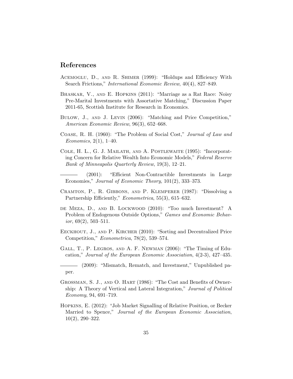# References

- <span id="page-37-4"></span>Acemoglu, D., and R. Shimer (1999): "Holdups and Efficiency With Search Frictions," International Economic Review, 40(4), 827–849.
- <span id="page-37-8"></span>Bhaskar, V., and E. Hopkins (2011): "Marriage as a Rat Race: Noisy Pre-Marital Investments with Assortative Matching," Discussion Paper 2011-65, Scottish Institute for Research in Economics.
- <span id="page-37-12"></span>Bulow, J., and J. Levin (2006): "Matching and Price Competition," American Economic Review, 96(3), 652–668.
- <span id="page-37-1"></span>Coase, R. H. (1960): "The Problem of Social Cost," Journal of Law and Economics,  $2(1)$ , 1–40.
- <span id="page-37-9"></span>Cole, H. L., G. J. Mailath, and A. Postlewaite (1995): "Incorporating Concern for Relative Wealth Into Economic Models," Federal Reserve Bank of Minneapolis Quarterly Review, 19(3), 12–21.
- <span id="page-37-0"></span>(2001): "Efficient Non-Contractible Investments in Large Economies," Journal of Economic Theory, 101(2), 333–373.
- <span id="page-37-2"></span>Cramton, P., R. Gibbons, and P. Klemperer (1987): "Dissolving a Partnership Efficiently," *Econometrica*, 55(3), 615–632.
- <span id="page-37-5"></span>de Meza, D., and B. Lockwood (2010): "Too much Investment? A Problem of Endogenous Outside Options," Games and Economic Behavior,  $69(2)$ ,  $503-511$ .
- <span id="page-37-11"></span>EECKHOUT, J., AND P. KIRCHER (2010): "Sorting and Decentralized Price Competition," Econometrica, 78(2), 539–574.
- <span id="page-37-6"></span>Gall, T., P. Legros, and A. F. Newman (2006): "The Timing of Education," Journal of the European Economic Association, 4(2-3), 427–435.

<span id="page-37-7"></span>(2009): "Mismatch, Rematch, and Investment," Unpublished paper.

- <span id="page-37-3"></span>Grossman, S. J., and O. Hart (1986): "The Cost and Benefits of Ownership: A Theory of Vertical and Lateral Integration," Journal of Political Economy, 94, 691–719.
- <span id="page-37-10"></span>Hopkins, E. (2012): "Job Market Signalling of Relative Position, or Becker Married to Spence," Journal of the European Economic Association, 10(2), 290–322.